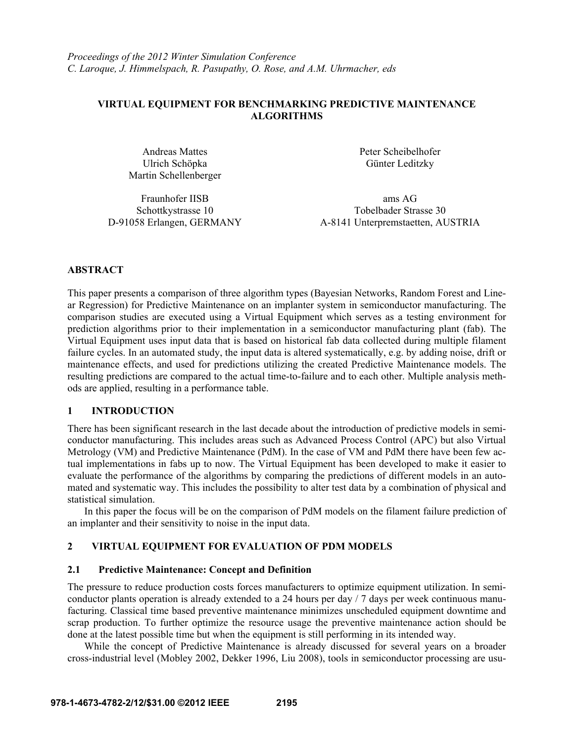## **VIRTUAL EQUIPMENT FOR BENCHMARKING PREDICTIVE MAINTENANCE ALGORITHMS**

Andreas Mattes Ulrich Schöpka Martin Schellenberger Peter Scheibelhofer Günter Leditzky

Fraunhofer IISB ams AG

Schottkystrasse 10 Tobelbader Strasse 30 D-91058 Erlangen, GERMANY A-8141 Unterpremstaetten, AUSTRIA

### **ABSTRACT**

This paper presents a comparison of three algorithm types (Bayesian Networks, Random Forest and Linear Regression) for Predictive Maintenance on an implanter system in semiconductor manufacturing. The comparison studies are executed using a Virtual Equipment which serves as a testing environment for prediction algorithms prior to their implementation in a semiconductor manufacturing plant (fab). The Virtual Equipment uses input data that is based on historical fab data collected during multiple filament failure cycles. In an automated study, the input data is altered systematically, e.g. by adding noise, drift or maintenance effects, and used for predictions utilizing the created Predictive Maintenance models. The resulting predictions are compared to the actual time-to-failure and to each other. Multiple analysis methods are applied, resulting in a performance table.

#### **1 INTRODUCTION**

There has been significant research in the last decade about the introduction of predictive models in semiconductor manufacturing. This includes areas such as Advanced Process Control (APC) but also Virtual Metrology (VM) and Predictive Maintenance (PdM). In the case of VM and PdM there have been few actual implementations in fabs up to now. The Virtual Equipment has been developed to make it easier to evaluate the performance of the algorithms by comparing the predictions of different models in an automated and systematic way. This includes the possibility to alter test data by a combination of physical and statistical simulation.

In this paper the focus will be on the comparison of PdM models on the filament failure prediction of an implanter and their sensitivity to noise in the input data.

# **2 VIRTUAL EQUIPMENT FOR EVALUATION OF PDM MODELS**

## **2.1 Predictive Maintenance: Concept and Definition**

The pressure to reduce production costs forces manufacturers to optimize equipment utilization. In semiconductor plants operation is already extended to a 24 hours per day / 7 days per week continuous manufacturing. Classical time based preventive maintenance minimizes unscheduled equipment downtime and scrap production. To further optimize the resource usage the preventive maintenance action should be done at the latest possible time but when the equipment is still performing in its intended way.

While the concept of Predictive Maintenance is already discussed for several years on a broader cross-industrial level (Mobley 2002, Dekker 1996, Liu 2008), tools in semiconductor processing are usu-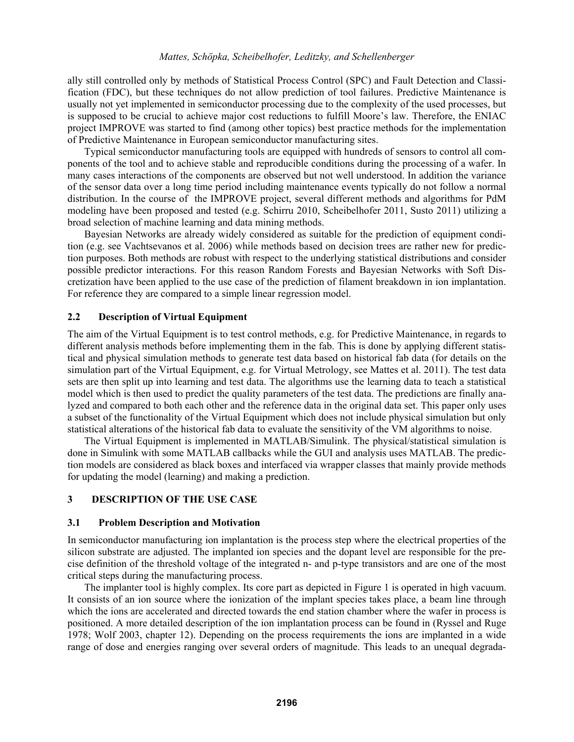ally still controlled only by methods of Statistical Process Control (SPC) and Fault Detection and Classification (FDC), but these techniques do not allow prediction of tool failures. Predictive Maintenance is usually not yet implemented in semiconductor processing due to the complexity of the used processes, but is supposed to be crucial to achieve major cost reductions to fulfill Moore's law. Therefore, the ENIAC project IMPROVE was started to find (among other topics) best practice methods for the implementation of Predictive Maintenance in European semiconductor manufacturing sites.

Typical semiconductor manufacturing tools are equipped with hundreds of sensors to control all components of the tool and to achieve stable and reproducible conditions during the processing of a wafer. In many cases interactions of the components are observed but not well understood. In addition the variance of the sensor data over a long time period including maintenance events typically do not follow a normal distribution. In the course of the IMPROVE project, several different methods and algorithms for PdM modeling have been proposed and tested (e.g. Schirru 2010, Scheibelhofer 2011, Susto 2011) utilizing a broad selection of machine learning and data mining methods.

Bayesian Networks are already widely considered as suitable for the prediction of equipment condition (e.g. see Vachtsevanos et al. 2006) while methods based on decision trees are rather new for prediction purposes. Both methods are robust with respect to the underlying statistical distributions and consider possible predictor interactions. For this reason Random Forests and Bayesian Networks with Soft Discretization have been applied to the use case of the prediction of filament breakdown in ion implantation. For reference they are compared to a simple linear regression model.

## **2.2 Description of Virtual Equipment**

The aim of the Virtual Equipment is to test control methods, e.g. for Predictive Maintenance, in regards to different analysis methods before implementing them in the fab. This is done by applying different statistical and physical simulation methods to generate test data based on historical fab data (for details on the simulation part of the Virtual Equipment, e.g. for Virtual Metrology, see Mattes et al. 2011). The test data sets are then split up into learning and test data. The algorithms use the learning data to teach a statistical model which is then used to predict the quality parameters of the test data. The predictions are finally analyzed and compared to both each other and the reference data in the original data set. This paper only uses a subset of the functionality of the Virtual Equipment which does not include physical simulation but only statistical alterations of the historical fab data to evaluate the sensitivity of the VM algorithms to noise.

The Virtual Equipment is implemented in MATLAB/Simulink. The physical/statistical simulation is done in Simulink with some MATLAB callbacks while the GUI and analysis uses MATLAB. The prediction models are considered as black boxes and interfaced via wrapper classes that mainly provide methods for updating the model (learning) and making a prediction.

# **3 DESCRIPTION OF THE USE CASE**

## **3.1 Problem Description and Motivation**

In semiconductor manufacturing ion implantation is the process step where the electrical properties of the silicon substrate are adjusted. The implanted ion species and the dopant level are responsible for the precise definition of the threshold voltage of the integrated n- and p-type transistors and are one of the most critical steps during the manufacturing process.

The implanter tool is highly complex. Its core part as depicted in Figure 1 is operated in high vacuum. It consists of an ion source where the ionization of the implant species takes place, a beam line through which the ions are accelerated and directed towards the end station chamber where the wafer in process is positioned. A more detailed description of the ion implantation process can be found in (Ryssel and Ruge 1978; Wolf 2003, chapter 12). Depending on the process requirements the ions are implanted in a wide range of dose and energies ranging over several orders of magnitude. This leads to an unequal degrada-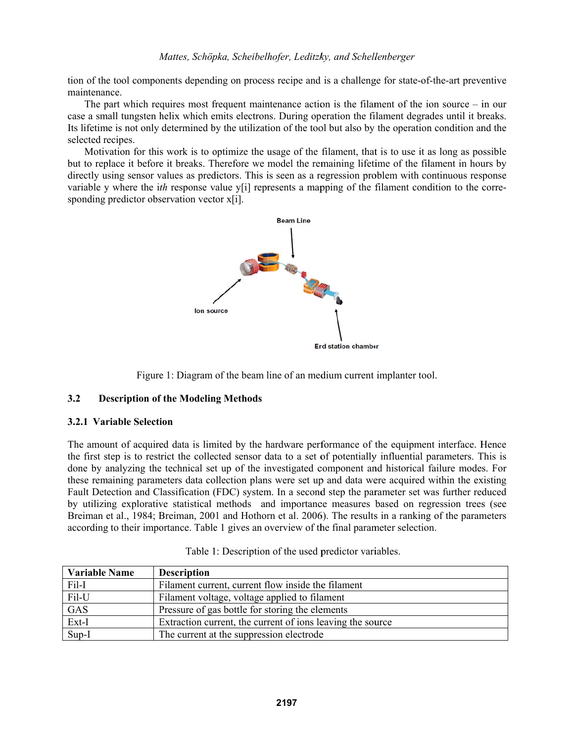tion of the tool components depending on process recipe and is a challenge for state-of-the-art preventive maintenance.

The part which requires most frequent maintenance action is the filament of the ion source  $-$  in our case a small tungsten helix which emits electrons. During operation the filament degrades until it breaks. Its lifetime is not only determined by the utilization of the tool but also by the operation condition and the selected recipes.

Motivation for this work is to optimize the usage of the filament, that is to use it as long as possible but to replace it before it breaks. Therefore we model the remaining lifetime of the filament in hours by directly using sensor values as predictors. This is seen as a regression problem with continuous response variable y where the *ith* response value y[i] represents a mapping of the filament condition to the corresponding predictor observation vector  $x[i]$ .



Figure 1: Diagram of the beam line of an medium current implanter tool.

## **3.2 Description of the Modeling Methods**

## **3.2.1 Variable Selection**

The amount of acquired data is limited by the hardware performance of the equipment interface. Hence the first step is to restrict the collected sensor data to a set of potentially influential parameters. This is done by analyzing the technical set up of the investigated component and historical failure modes. For these remaining parameters data collection plans were set up and data were acquired within the existing Fault Detection and Classification (FDC) system. In a second step the parameter set was further reduced by utilizing explorative statistical methods and importance measures based on regression trees (see Breiman et al., 1984; Breiman, 2001 and Hothorn et al. 2006). The results in a ranking of the parameters according to their importance. Table 1 gives an overview of the final parameter selection.

| <b>Variable Name</b> | <b>Description</b>                                         |
|----------------------|------------------------------------------------------------|
| Fil-I                | Filament current, current flow inside the filament         |
| Fil-U                | Filament voltage, voltage applied to filament              |
| <b>GAS</b>           | Pressure of gas bottle for storing the elements            |
| Ext-I                | Extraction current, the current of ions leaving the source |
| Sup-I                | The current at the suppression electrode                   |

Table 1: Description of the used predictor variables.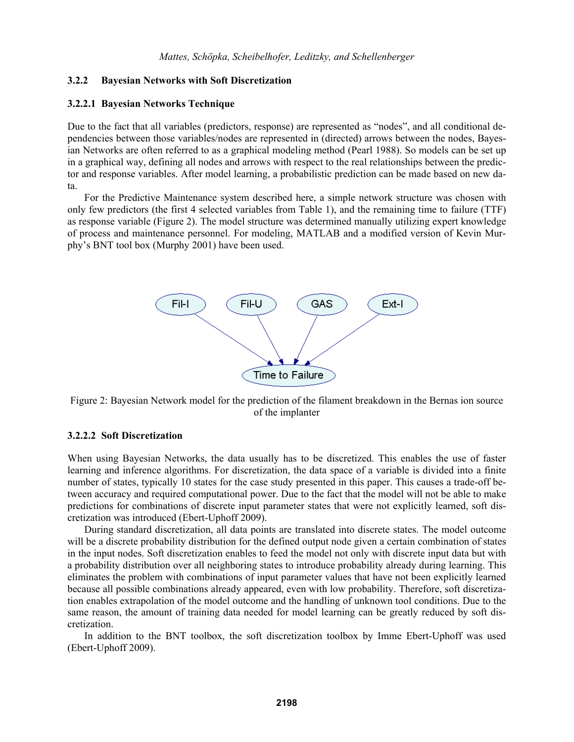## **3.2.2 Bayesian Networks with Soft Discretization**

## **3.2.2.1 Bayesian Networks Technique**

Due to the fact that all variables (predictors, response) are represented as "nodes", and all conditional dependencies between those variables/nodes are represented in (directed) arrows between the nodes, Bayesian Networks are often referred to as a graphical modeling method (Pearl 1988). So models can be set up in a graphical way, defining all nodes and arrows with respect to the real relationships between the predictor and response variables. After model learning, a probabilistic prediction can be made based on new data.

For the Predictive Maintenance system described here, a simple network structure was chosen with only few predictors (the first 4 selected variables from Table 1), and the remaining time to failure (TTF) as response variable (Figure 2). The model structure was determined manually utilizing expert knowledge of process and maintenance personnel. For modeling, MATLAB and a modified version of Kevin Murphy's BNT tool box (Murphy 2001) have been used.



Figure 2: Bayesian Network model for the prediction of the filament breakdown in the Bernas ion source of the implanter

## **3.2.2.2 Soft Discretization**

When using Bayesian Networks, the data usually has to be discretized. This enables the use of faster learning and inference algorithms. For discretization, the data space of a variable is divided into a finite number of states, typically 10 states for the case study presented in this paper. This causes a trade-off between accuracy and required computational power. Due to the fact that the model will not be able to make predictions for combinations of discrete input parameter states that were not explicitly learned, soft discretization was introduced (Ebert-Uphoff 2009).

During standard discretization, all data points are translated into discrete states. The model outcome will be a discrete probability distribution for the defined output node given a certain combination of states in the input nodes. Soft discretization enables to feed the model not only with discrete input data but with a probability distribution over all neighboring states to introduce probability already during learning. This eliminates the problem with combinations of input parameter values that have not been explicitly learned because all possible combinations already appeared, even with low probability. Therefore, soft discretization enables extrapolation of the model outcome and the handling of unknown tool conditions. Due to the same reason, the amount of training data needed for model learning can be greatly reduced by soft discretization.

In addition to the BNT toolbox, the soft discretization toolbox by Imme Ebert-Uphoff was used (Ebert-Uphoff 2009).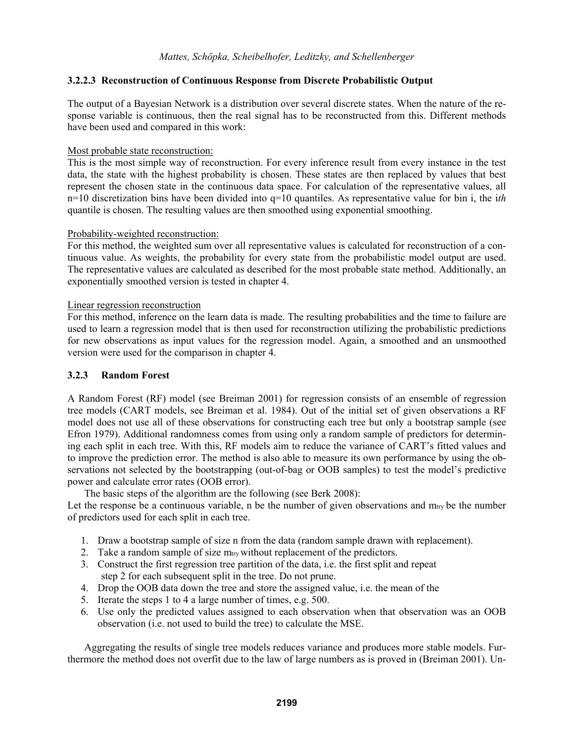## **3.2.2.3 Reconstruction of Continuous Response from Discrete Probabilistic Output**

The output of a Bayesian Network is a distribution over several discrete states. When the nature of the response variable is continuous, then the real signal has to be reconstructed from this. Different methods have been used and compared in this work:

### Most probable state reconstruction:

This is the most simple way of reconstruction. For every inference result from every instance in the test data, the state with the highest probability is chosen. These states are then replaced by values that best represent the chosen state in the continuous data space. For calculation of the representative values, all n=10 discretization bins have been divided into q=10 quantiles. As representative value for bin i, the i*th* quantile is chosen. The resulting values are then smoothed using exponential smoothing.

## Probability-weighted reconstruction:

For this method, the weighted sum over all representative values is calculated for reconstruction of a continuous value. As weights, the probability for every state from the probabilistic model output are used. The representative values are calculated as described for the most probable state method. Additionally, an exponentially smoothed version is tested in chapter 4.

#### Linear regression reconstruction

For this method, inference on the learn data is made. The resulting probabilities and the time to failure are used to learn a regression model that is then used for reconstruction utilizing the probabilistic predictions for new observations as input values for the regression model. Again, a smoothed and an unsmoothed version were used for the comparison in chapter 4.

## **3.2.3 Random Forest**

A Random Forest (RF) model (see Breiman 2001) for regression consists of an ensemble of regression tree models (CART models, see Breiman et al. 1984). Out of the initial set of given observations a RF model does not use all of these observations for constructing each tree but only a bootstrap sample (see Efron 1979). Additional randomness comes from using only a random sample of predictors for determining each split in each tree. With this, RF models aim to reduce the variance of CART's fitted values and to improve the prediction error. The method is also able to measure its own performance by using the observations not selected by the bootstrapping (out-of-bag or OOB samples) to test the model's predictive power and calculate error rates (OOB error).

The basic steps of the algorithm are the following (see Berk 2008):

Let the response be a continuous variable, n be the number of given observations and  $m_{try}$  be the number of predictors used for each split in each tree.

- 1. Draw a bootstrap sample of size n from the data (random sample drawn with replacement).
- 2. Take a random sample of size  $m_{try}$  without replacement of the predictors.
- 3. Construct the first regression tree partition of the data, i.e. the first split and repeat step 2 for each subsequent split in the tree. Do not prune.
- 4. Drop the OOB data down the tree and store the assigned value, i.e. the mean of the
- 5. Iterate the steps 1 to 4 a large number of times, e.g. 500.
- 6. Use only the predicted values assigned to each observation when that observation was an OOB observation (i.e. not used to build the tree) to calculate the MSE.

Aggregating the results of single tree models reduces variance and produces more stable models. Furthermore the method does not overfit due to the law of large numbers as is proved in (Breiman 2001). Un-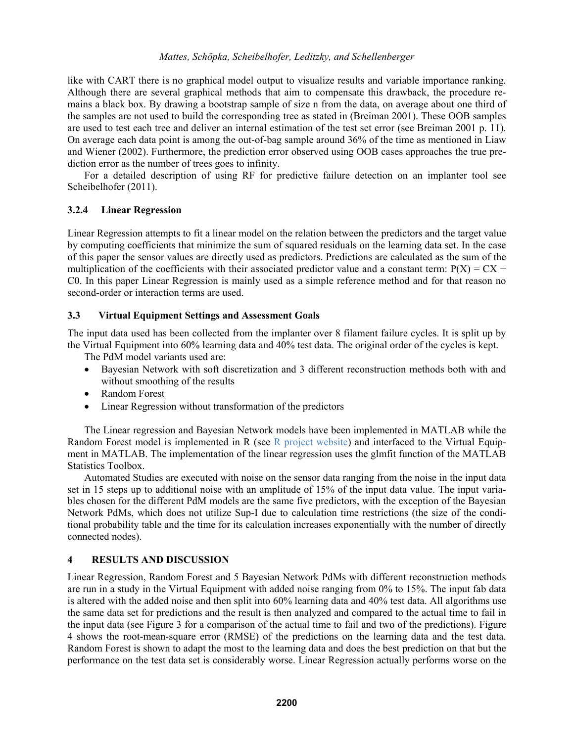like with CART there is no graphical model output to visualize results and variable importance ranking. Although there are several graphical methods that aim to compensate this drawback, the procedure remains a black box. By drawing a bootstrap sample of size n from the data, on average about one third of the samples are not used to build the corresponding tree as stated in (Breiman 2001). These OOB samples are used to test each tree and deliver an internal estimation of the test set error (see Breiman 2001 p. 11). On average each data point is among the out-of-bag sample around 36% of the time as mentioned in Liaw and Wiener (2002). Furthermore, the prediction error observed using OOB cases approaches the true prediction error as the number of trees goes to infinity.

For a detailed description of using RF for predictive failure detection on an implanter tool see Scheibelhofer (2011).

## **3.2.4 Linear Regression**

Linear Regression attempts to fit a linear model on the relation between the predictors and the target value by computing coefficients that minimize the sum of squared residuals on the learning data set. In the case of this paper the sensor values are directly used as predictors. Predictions are calculated as the sum of the multiplication of the coefficients with their associated predictor value and a constant term:  $P(X) = CX +$ C0. In this paper Linear Regression is mainly used as a simple reference method and for that reason no second-order or interaction terms are used.

## **3.3 Virtual Equipment Settings and Assessment Goals**

The input data used has been collected from the implanter over 8 filament failure cycles. It is split up by the Virtual Equipment into 60% learning data and 40% test data. The original order of the cycles is kept.

The PdM model variants used are:

- Bayesian Network with soft discretization and 3 different reconstruction methods both with and without smoothing of the results
- Random Forest
- Linear Regression without transformation of the predictors

The Linear regression and Bayesian Network models have been implemented in MATLAB while the Random Forest model is implemented in R (see R project website) and interfaced to the Virtual Equipment in MATLAB. The implementation of the linear regression uses the glmfit function of the MATLAB Statistics Toolbox.

Automated Studies are executed with noise on the sensor data ranging from the noise in the input data set in 15 steps up to additional noise with an amplitude of 15% of the input data value. The input variables chosen for the different PdM models are the same five predictors, with the exception of the Bayesian Network PdMs, which does not utilize Sup-I due to calculation time restrictions (the size of the conditional probability table and the time for its calculation increases exponentially with the number of directly connected nodes).

## **4 RESULTS AND DISCUSSION**

Linear Regression, Random Forest and 5 Bayesian Network PdMs with different reconstruction methods are run in a study in the Virtual Equipment with added noise ranging from 0% to 15%. The input fab data is altered with the added noise and then split into 60% learning data and 40% test data. All algorithms use the same data set for predictions and the result is then analyzed and compared to the actual time to fail in the input data (see Figure 3 for a comparison of the actual time to fail and two of the predictions). Figure 4 shows the root-mean-square error (RMSE) of the predictions on the learning data and the test data. Random Forest is shown to adapt the most to the learning data and does the best prediction on that but the performance on the test data set is considerably worse. Linear Regression actually performs worse on the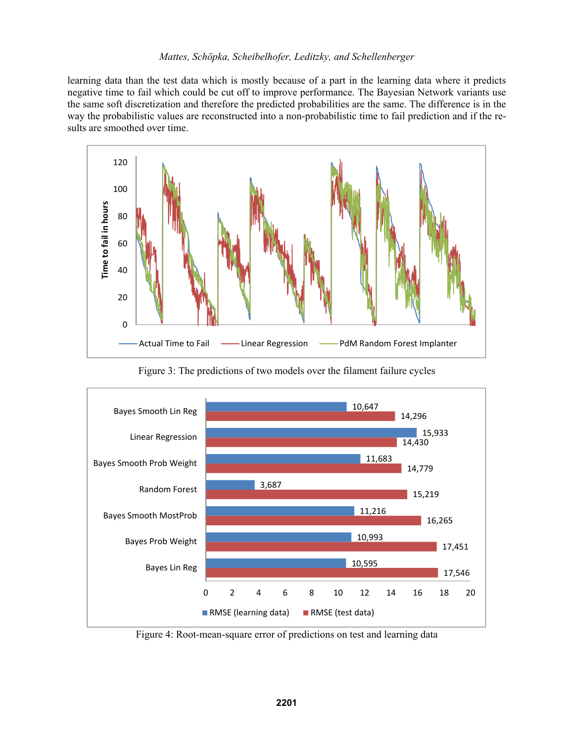learning data than the test data which is mostly because of a part in the learning data where it predicts negative time to fail which could be cut off to improve performance. The Bayesian Network variants use the same soft discretization and therefore the predicted probabilities are the same. The difference is in the way the probabilistic values are reconstructed into a non-probabilistic time to fail prediction and if the results are smoothed over time.



Figure 3: The predictions of two models over the filament failure cycles



Figure 4: Root-mean-square error of predictions on test and learning data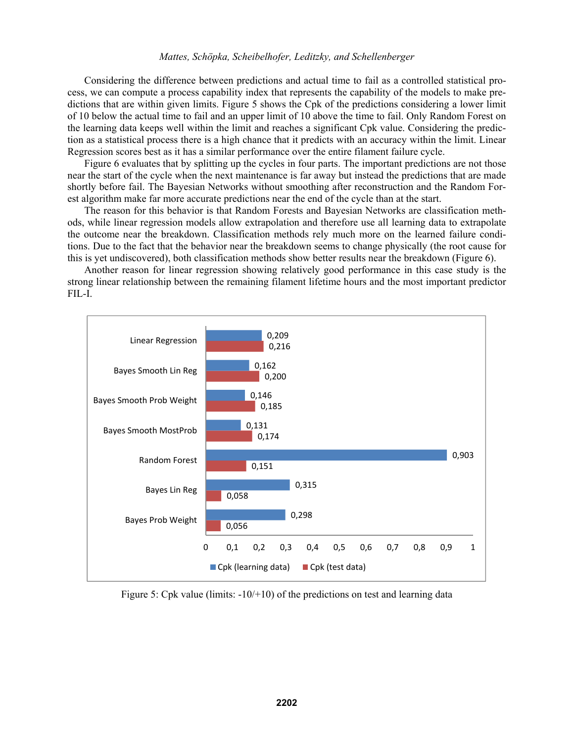Considering the difference between predictions and actual time to fail as a controlled statistical process, we can compute a process capability index that represents the capability of the models to make predictions that are within given limits. Figure 5 shows the Cpk of the predictions considering a lower limit of 10 below the actual time to fail and an upper limit of 10 above the time to fail. Only Random Forest on the learning data keeps well within the limit and reaches a significant Cpk value. Considering the prediction as a statistical process there is a high chance that it predicts with an accuracy within the limit. Linear Regression scores best as it has a similar performance over the entire filament failure cycle.

Figure 6 evaluates that by splitting up the cycles in four parts. The important predictions are not those near the start of the cycle when the next maintenance is far away but instead the predictions that are made shortly before fail. The Bayesian Networks without smoothing after reconstruction and the Random Forest algorithm make far more accurate predictions near the end of the cycle than at the start.

The reason for this behavior is that Random Forests and Bayesian Networks are classification methods, while linear regression models allow extrapolation and therefore use all learning data to extrapolate the outcome near the breakdown. Classification methods rely much more on the learned failure conditions. Due to the fact that the behavior near the breakdown seems to change physically (the root cause for this is yet undiscovered), both classification methods show better results near the breakdown (Figure 6).

Another reason for linear regression showing relatively good performance in this case study is the strong linear relationship between the remaining filament lifetime hours and the most important predictor FIL-I.



Figure 5: Cpk value (limits:  $-10/10$ ) of the predictions on test and learning data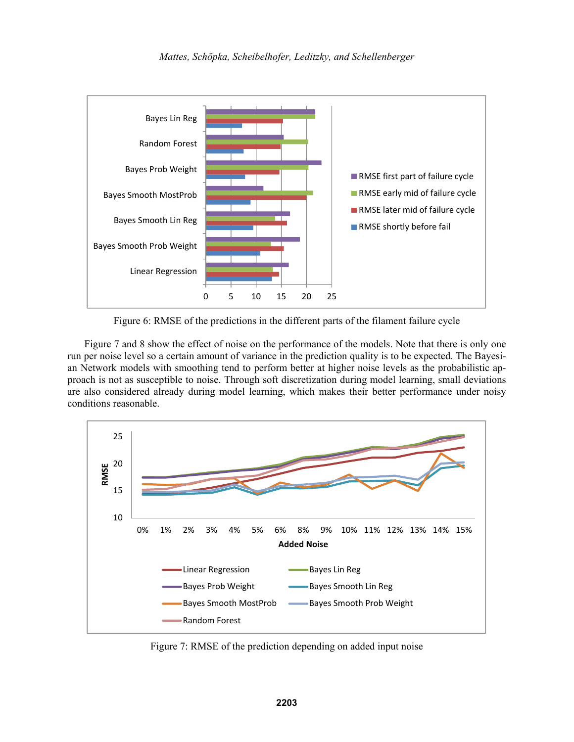

Figure 6: RMSE of the predictions in the different parts of the filament failure cycle

Figure 7 and 8 show the effect of noise on the performance of the models. Note that there is only one run per noise level so a certain amount of variance in the prediction quality is to be expected. The Bayesian Network models with smoothing tend to perform better at higher noise levels as the probabilistic approach is not as susceptible to noise. Through soft discretization during model learning, small deviations are also considered already during model learning, which makes their better performance under noisy conditions reasonable.



Figure 7: RMSE of the prediction depending on added input noise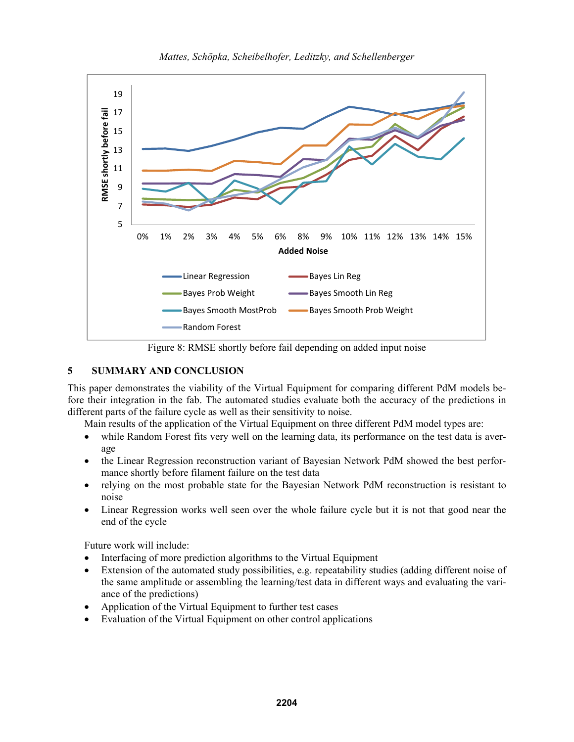

*Mattes, Schöpka, Scheibelhofer, Leditzky, and Schellenberger* 

Figure 8: RMSE shortly before fail depending on added input noise

# **5 SUMMARY AND CONCLUSION**

This paper demonstrates the viability of the Virtual Equipment for comparing different PdM models before their integration in the fab. The automated studies evaluate both the accuracy of the predictions in different parts of the failure cycle as well as their sensitivity to noise.

Main results of the application of the Virtual Equipment on three different PdM model types are:

- while Random Forest fits very well on the learning data, its performance on the test data is average
- the Linear Regression reconstruction variant of Bayesian Network PdM showed the best performance shortly before filament failure on the test data
- relying on the most probable state for the Bayesian Network PdM reconstruction is resistant to noise
- Linear Regression works well seen over the whole failure cycle but it is not that good near the end of the cycle

Future work will include:

- Interfacing of more prediction algorithms to the Virtual Equipment
- Extension of the automated study possibilities, e.g. repeatability studies (adding different noise of the same amplitude or assembling the learning/test data in different ways and evaluating the variance of the predictions)
- Application of the Virtual Equipment to further test cases
- Evaluation of the Virtual Equipment on other control applications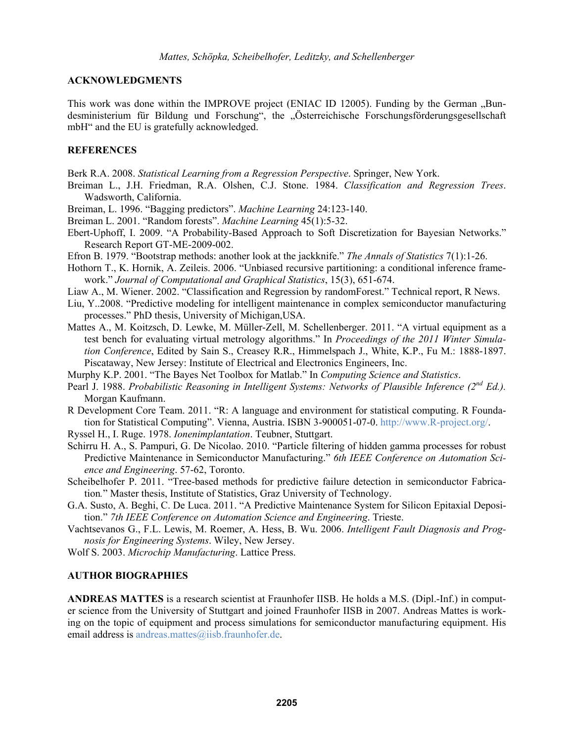## **ACKNOWLEDGMENTS**

This work was done within the IMPROVE project (ENIAC ID 12005). Funding by the German "Bundesministerium für Bildung und Forschung", the "Österreichische Forschungsförderungsgesellschaft mbH" and the EU is gratefully acknowledged.

## **REFERENCES**

Berk R.A. 2008. *Statistical Learning from a Regression Perspective*. Springer, New York.

- Breiman L., J.H. Friedman, R.A. Olshen, C.J. Stone. 1984. *Classification and Regression Trees*. Wadsworth, California.
- Breiman, L. 1996. "Bagging predictors". *Machine Learning* 24:123-140.
- Breiman L. 2001. "Random forests". *Machine Learning* 45(1):5-32.
- Ebert-Uphoff, I. 2009. "A Probability-Based Approach to Soft Discretization for Bayesian Networks." Research Report GT-ME-2009-002.
- Efron B. 1979. "Bootstrap methods: another look at the jackknife." *The Annals of Statistics* 7(1):1-26.
- Hothorn T., K. Hornik, A. Zeileis. 2006. "Unbiased recursive partitioning: a conditional inference framework." *Journal of Computational and Graphical Statistics*, 15(3), 651-674.
- Liaw A., M. Wiener. 2002. "Classification and Regression by randomForest." Technical report, R News.
- Liu, Y..2008. "Predictive modeling for intelligent maintenance in complex semiconductor manufacturing processes." PhD thesis, University of Michigan,USA.
- Mattes A., M. Koitzsch, D. Lewke, M. Müller-Zell, M. Schellenberger. 2011. "A virtual equipment as a test bench for evaluating virtual metrology algorithms." In *Proceedings of the 2011 Winter Simulation Conference*, Edited by Sain S., Creasey R.R., Himmelspach J., White, K.P., Fu M.: 1888-1897. Piscataway, New Jersey: Institute of Electrical and Electronics Engineers, Inc.
- Murphy K.P. 2001. "The Bayes Net Toolbox for Matlab." In *Computing Science and Statistics*.
- Pearl J. 1988. *Probabilistic Reasoning in Intelligent Systems: Networks of Plausible Inference (2nd Ed.).* Morgan Kaufmann.
- R Development Core Team. 2011. "R: A language and environment for statistical computing. R Foundation for Statistical Computing". Vienna, Austria. ISBN 3-900051-07-0. http://www.R-project.org/.
- Ryssel H., I. Ruge. 1978. *Ionenimplantation*. Teubner, Stuttgart.
- Schirru H. A., S. Pampuri, G. De Nicolao. 2010. "Particle filtering of hidden gamma processes for robust Predictive Maintenance in Semiconductor Manufacturing." *6th IEEE Conference on Automation Science and Engineering*. 57-62, Toronto.

Scheibelhofer P. 2011. "Tree-based methods for predictive failure detection in semiconductor Fabrication*.*" Master thesis, Institute of Statistics, Graz University of Technology.

- G.A. Susto, A. Beghi, C. De Luca. 2011. "A Predictive Maintenance System for Silicon Epitaxial Deposition." *7th IEEE Conference on Automation Science and Engineering*. Trieste.
- Vachtsevanos G., F.L. Lewis, M. Roemer, A. Hess, B. Wu. 2006. *Intelligent Fault Diagnosis and Prognosis for Engineering Systems*. Wiley, New Jersey.

Wolf S. 2003. *Microchip Manufacturing*. Lattice Press.

## **AUTHOR BIOGRAPHIES**

**ANDREAS MATTES** is a research scientist at Fraunhofer IISB. He holds a M.S. (Dipl.-Inf.) in computer science from the University of Stuttgart and joined Fraunhofer IISB in 2007. Andreas Mattes is working on the topic of equipment and process simulations for semiconductor manufacturing equipment. His email address is andreas.mattes@iisb.fraunhofer.de.